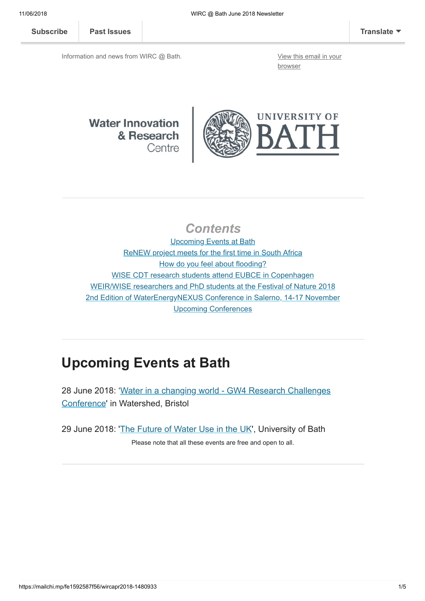[Subscribe](http://eepurl.com/bKjQGL) [Past Issues](https://us12.campaign-archive.com/home/?u=d7614ea34eb388bb6f0caa07a&id=d688d5b543) [Translate](javascript:;)

Information and news from WIRC @ Bath. [View this email in your](https://mailchi.mp/fe1592587f56/wircapr2018-1480933?e=[UNIQID])

browser

### **Water Innovation** & Research Centre



### **Contents**

Upcoming Events at Bath [ReNEW project meets for the first time in South Africa](#page-1-0) [How do you feel about flooding?](#page-1-1) [WISE CDT research students attend EUBCE in Copenhagen](#page-2-0) [WEIR/WISE researchers and PhD students at the Festival of Nature 2018](#page-3-0) [2nd Edition of WaterEnergyNEXUS Conference in Salerno, 14-17 November](#page-3-1) [Upcoming Conferences](#page-4-0)

# Upcoming Events at Bath

[28 June 2018: 'Water in a changing world - GW4 Research Challenges](http://www.bath.ac.uk/events/water-in-a-changing-world/) Conference' in Watershed, Bristol

29 June 2018: '[The Future of Water Use in the UK](http://www.bath.ac.uk/events/the-future-of-water-use-in-the-uk/)', University of Bath

Please note that all these events are free and open to all.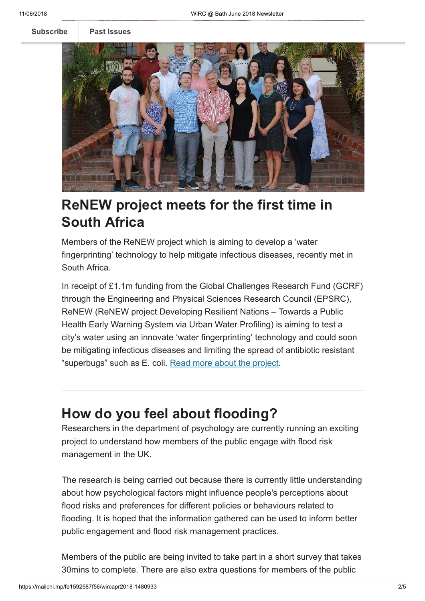[Subscribe](http://eepurl.com/bKjQGL) [Past Issues](https://us12.campaign-archive.com/home/?u=d7614ea34eb388bb6f0caa07a&id=d688d5b543)



## <span id="page-1-0"></span>ReNEW project meets for the first time in South Africa

Members of the ReNEW project which is aiming to develop a 'water fingerprinting' technology to help mitigate infectious diseases, recently met in South Africa.

In receipt of £1.1m funding from the Global Challenges Research Fund (GCRF) through the Engineering and Physical Sciences Research Council (EPSRC), ReNEW (ReNEW project Developing Resilient Nations – Towards a Public Health Early Warning System via Urban Water Profiling) is aiming to test a city's water using an innovate 'water fingerprinting' technology and could soon be mitigating infectious diseases and limiting the spread of antibiotic resistant "superbugs" such as E. coli. [Read more about the project](http://blogs.bath.ac.uk/water/2018/06/08/renew-project-meets-for-the-first-time-in-south-africa/).

# <span id="page-1-1"></span>How do you feel about flooding?

Researchers in the department of psychology are currently running an exciting project to understand how members of the public engage with flood risk management in the UK.

The research is being carried out because there is currently little understanding about how psychological factors might influence people's perceptions about flood risks and preferences for different policies or behaviours related to flooding. It is hoped that the information gathered can be used to inform better public engagement and flood risk management practices.

Members of the public are being invited to take part in a short survey that takes 30mins to complete. There are also extra questions for members of the public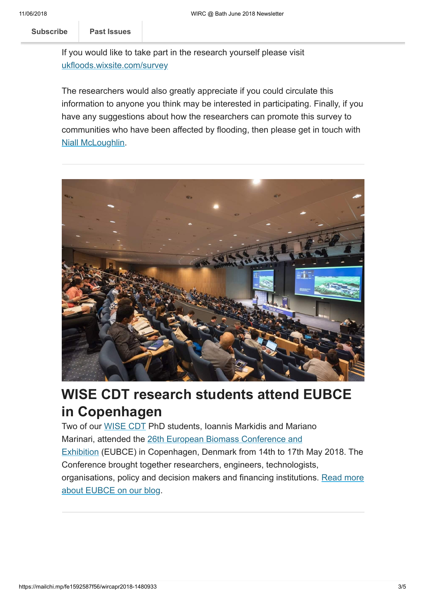[Subscribe](http://eepurl.com/bKjQGL) Past Issues **by a flood event.** 

If you would like to take part in the research yourself please visit [ukfloods.wixsite.com/survey](https://ukfloods.wixsite.com/survey)

The researchers would also greatly appreciate if you could circulate this information to anyone you think may be interested in participating. Finally, if you have any suggestions about how the researchers can promote this survey to communities who have been affected by flooding, then please get in touch with [Niall McLoughlin.](mailto:n.c.mcloughlin@bath.ac.uk?subject=Suggestion%20for%20the%20promotion%20of%20flooding%20survey)



## <span id="page-2-0"></span>WISE CDT research students attend EUBCE in Copenhagen

Two of our [WISE CDT](http://www.wisecdt.org/) PhD students, Ioannis Markidis and Mariano Marinari, attended the 26th European Biomass Conference and [Exhibition \(EUBCE\) in Copenhagen, Denmark from 14th to 17th](http://www.eubce.com/) May 2018. The Conference brought together researchers, engineers, technologists, [organisations, policy and decision makers and financing institutions. Read more](http://blogs.bath.ac.uk/water/2018/06/08/wise-cdt-research-students-attend-eubce-in-copenhagen/) about EUBCE on our blog.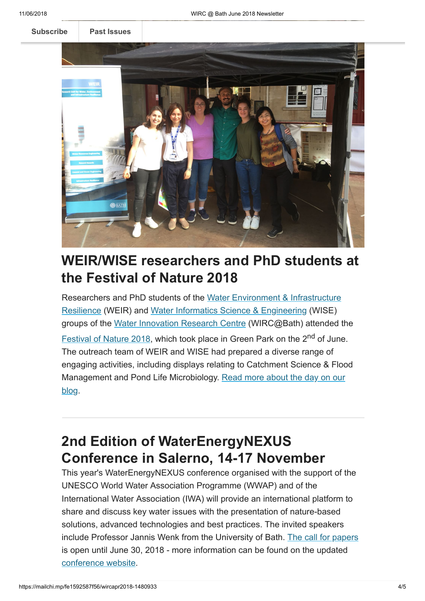[Subscribe](http://eepurl.com/bKjQGL) **[Past Issues](https://us12.campaign-archive.com/home/?u=d7614ea34eb388bb6f0caa07a&id=d688d5b543)** 



# <span id="page-3-0"></span>WEIR/WISE researchers and PhD students at the Festival of Nature 2018

[Researchers and PhD students of the Water Environment & Infrastructure](http://www.bath.ac.uk/ace/research/weir/) Resilience (WEIR) and [Water Informatics Science & Engineering](http://wisecdt.org/) (WISE) groups of the [Water Innovation Research Centre](http://www.bath.ac.uk/research-centres/water-innovation-and-research-centre-wirc-bath/) (WIRC@Bath) attended the [Festival of Nature 2018,](https://www.bnhc.org.uk/festival-of-nature/) which took place in Green Park on the 2<sup>nd</sup> of June. The outreach team of WEIR and WISE had prepared a diverse range of engaging activities, including displays relating to Catchment Science & Flood [Management and Pond Life Microbiology. Read more about the day on our](http://blogs.bath.ac.uk/water/2018/06/11/weir-researchers-and-phd-students-at-the-festival-of-nature-2018/) blog.

# <span id="page-3-1"></span>2nd Edition of WaterEnergyNEXUS Conference in Salerno, 14-17 November

This year's WaterEnergyNEXUS conference organised with the support of the UNESCO World Water Association Programme (WWAP) and of the International Water Association (IWA) will provide an international platform to share and discuss key water issues with the presentation of nature-based solutions, advanced technologies and best practices. The invited speakers include Professor Jannis Wenk from the University of Bath. [The call for papers](http://waterenergynexus.org/wp-content/uploads/2018/05/2018_05_WaterEnergyNEXUS_November_Salerno-Italy_CFP.pdf) is open until June 30, 2018 - more information can be found on the updated [conference website.](http://waterenergynexus.org/)